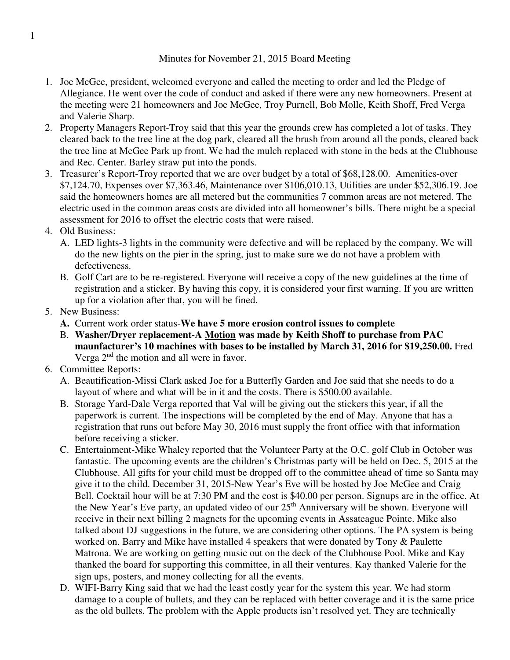## Minutes for November 21, 2015 Board Meeting

- 1. Joe McGee, president, welcomed everyone and called the meeting to order and led the Pledge of Allegiance. He went over the code of conduct and asked if there were any new homeowners. Present at the meeting were 21 homeowners and Joe McGee, Troy Purnell, Bob Molle, Keith Shoff, Fred Verga and Valerie Sharp.
- 2. Property Managers Report-Troy said that this year the grounds crew has completed a lot of tasks. They cleared back to the tree line at the dog park, cleared all the brush from around all the ponds, cleared back the tree line at McGee Park up front. We had the mulch replaced with stone in the beds at the Clubhouse and Rec. Center. Barley straw put into the ponds.
- 3. Treasurer's Report-Troy reported that we are over budget by a total of \$68,128.00. Amenities-over \$7,124.70, Expenses over \$7,363.46, Maintenance over \$106,010.13, Utilities are under \$52,306.19. Joe said the homeowners homes are all metered but the communities 7 common areas are not metered. The electric used in the common areas costs are divided into all homeowner's bills. There might be a special assessment for 2016 to offset the electric costs that were raised.
- 4. Old Business:
	- A. LED lights-3 lights in the community were defective and will be replaced by the company. We will do the new lights on the pier in the spring, just to make sure we do not have a problem with defectiveness.
	- B. Golf Cart are to be re-registered. Everyone will receive a copy of the new guidelines at the time of registration and a sticker. By having this copy, it is considered your first warning. If you are written up for a violation after that, you will be fined.
- 5. New Business:
	- **A.** Current work order status-**We have 5 more erosion control issues to complete**
	- B. **Washer/Dryer replacement-A Motion was made by Keith Shoff to purchase from PAC maunfacturer's 10 machines with bases to be installed by March 31, 2016 for \$19,250.00.** Fred Verga  $2<sup>nd</sup>$  the motion and all were in favor.
- 6. Committee Reports:
	- A. Beautification-Missi Clark asked Joe for a Butterfly Garden and Joe said that she needs to do a layout of where and what will be in it and the costs. There is \$500.00 available.
	- B. Storage Yard-Dale Verga reported that Val will be giving out the stickers this year, if all the paperwork is current. The inspections will be completed by the end of May. Anyone that has a registration that runs out before May 30, 2016 must supply the front office with that information before receiving a sticker.
	- C. Entertainment-Mike Whaley reported that the Volunteer Party at the O.C. golf Club in October was fantastic. The upcoming events are the children's Christmas party will be held on Dec. 5, 2015 at the Clubhouse. All gifts for your child must be dropped off to the committee ahead of time so Santa may give it to the child. December 31, 2015-New Year's Eve will be hosted by Joe McGee and Craig Bell. Cocktail hour will be at 7:30 PM and the cost is \$40.00 per person. Signups are in the office. At the New Year's Eve party, an updated video of our 25<sup>th</sup> Anniversary will be shown. Everyone will receive in their next billing 2 magnets for the upcoming events in Assateague Pointe. Mike also talked about DJ suggestions in the future, we are considering other options. The PA system is being worked on. Barry and Mike have installed 4 speakers that were donated by Tony & Paulette Matrona. We are working on getting music out on the deck of the Clubhouse Pool. Mike and Kay thanked the board for supporting this committee, in all their ventures. Kay thanked Valerie for the sign ups, posters, and money collecting for all the events.
	- D. WIFI-Barry King said that we had the least costly year for the system this year. We had storm damage to a couple of bullets, and they can be replaced with better coverage and it is the same price as the old bullets. The problem with the Apple products isn't resolved yet. They are technically